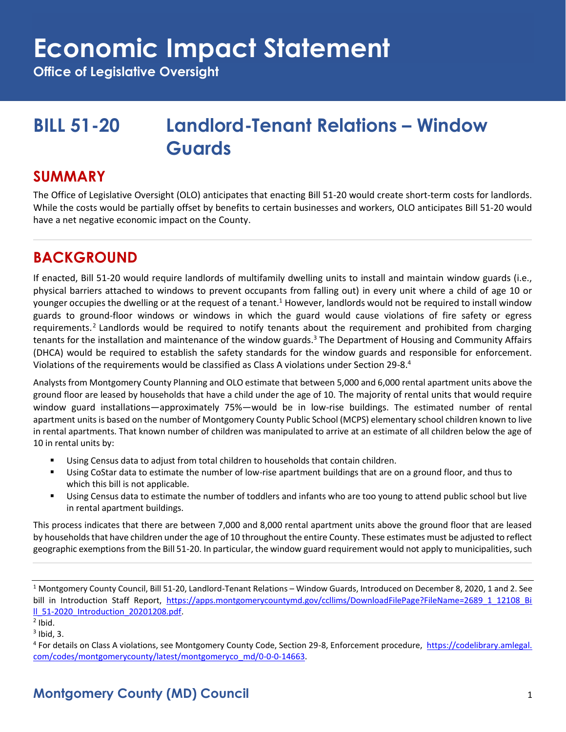**Office of Legislative Oversight**

## **BILL 51-20 Landlord-Tenant Relations – Window Guards**

#### **SUMMARY**

The Office of Legislative Oversight (OLO) anticipates that enacting Bill 51-20 would create short-term costs for landlords. While the costs would be partially offset by benefits to certain businesses and workers, OLO anticipates Bill 51-20 would have a net negative economic impact on the County.

### **BACKGROUND**

If enacted, Bill 51-20 would require landlords of multifamily dwelling units to install and maintain window guards (i.e., physical barriers attached to windows to prevent occupants from falling out) in every unit where a child of age 10 or younger occupies the dwelling or at the request of a tenant.<sup>1</sup> However, landlords would not be required to install window guards to ground-floor windows or windows in which the guard would cause violations of fire safety or egress requirements.<sup>2</sup> Landlords would be required to notify tenants about the requirement and prohibited from charging tenants for the installation and maintenance of the window guards.<sup>3</sup> The Department of Housing and Community Affairs (DHCA) would be required to establish the safety standards for the window guards and responsible for enforcement. Violations of the requirements would be classified as Class A violations under Section 29-8.<sup>4</sup>

Analysts from Montgomery County Planning and OLO estimate that between 5,000 and 6,000 rental apartment units above the ground floor are leased by households that have a child under the age of 10. The majority of rental units that would require window guard installations—approximately 75%—would be in low-rise buildings. The estimated number of rental apartment units is based on the number of Montgomery County Public School (MCPS) elementary school children known to live in rental apartments. That known number of children was manipulated to arrive at an estimate of all children below the age of 10 in rental units by:

- Using Census data to adjust from total children to households that contain children.
- Using CoStar data to estimate the number of low-rise apartment buildings that are on a ground floor, and thus to which this bill is not applicable.
- Using Census data to estimate the number of toddlers and infants who are too young to attend public school but live in rental apartment buildings.

This process indicates that there are between 7,000 and 8,000 rental apartment units above the ground floor that are leased by households that have children under the age of 10 throughout the entire County. These estimates must be adjusted to reflect geographic exemptions from the Bill 51-20. In particular, the window guard requirement would not apply to municipalities, such

<sup>1</sup> Montgomery County Council, Bill 51-20, Landlord-Tenant Relations – Window Guards, Introduced on December 8, 2020, 1 and 2. See bill in Introduction Staff Report, [https://apps.montgomerycountymd.gov/ccllims/DownloadFilePage?FileName=2689\\_1\\_12108\\_Bi](https://apps.montgomerycountymd.gov/ccllims/DownloadFilePage?FileName=2689_1_12108_Bill_51-2020_Introduction_20201208.pdf) [ll\\_51-2020\\_Introduction\\_20201208.pdf.](https://apps.montgomerycountymd.gov/ccllims/DownloadFilePage?FileName=2689_1_12108_Bill_51-2020_Introduction_20201208.pdf) 

 $<sup>2</sup>$  Ibid.</sup>

 $3$  Ibid, 3.

<sup>&</sup>lt;sup>4</sup> For details on Class A violations, see Montgomery County Code, Section 29-8, Enforcement procedure, [https://codelibrary.amlegal.](https://codelibrary.amlegal.com/codes/montgomerycounty/latest/montgomeryco_md/0-0-0-14663) [com/codes/montgomerycounty/latest/montgomeryco\\_md/0-0-0-14663.](https://codelibrary.amlegal.com/codes/montgomerycounty/latest/montgomeryco_md/0-0-0-14663)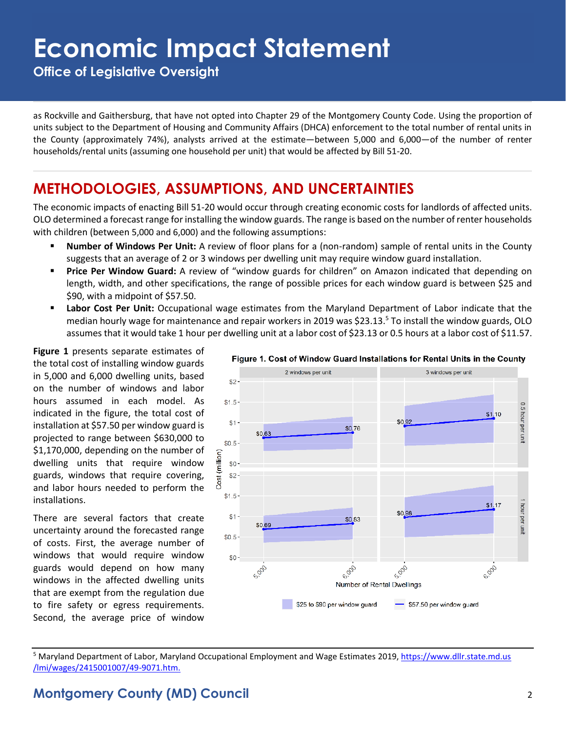**Office of Legislative Oversight**

as Rockville and Gaithersburg, that have not opted into Chapter 29 of the Montgomery County Code. Using the proportion of units subject to the Department of Housing and Community Affairs (DHCA) enforcement to the total number of rental units in the County (approximately 74%), analysts arrived at the estimate—between 5,000 and 6,000—of the number of renter households/rental units (assuming one household per unit) that would be affected by Bill 51-20.

### **METHODOLOGIES, ASSUMPTIONS, AND UNCERTAINTIES**

The economic impacts of enacting Bill 51-20 would occur through creating economic costs for landlords of affected units. OLO determined a forecast range for installing the window guards. The range is based on the number of renter households with children (between 5,000 and 6,000) and the following assumptions:

- Number of Windows Per Unit: A review of floor plans for a (non-random) sample of rental units in the County suggests that an average of 2 or 3 windows per dwelling unit may require window guard installation.
- **Price Per Window Guard:** A review of "window guards for children" on Amazon indicated that depending on length, width, and other specifications, the range of possible prices for each window guard is between \$25 and \$90, with a midpoint of \$57.50.
- **Labor Cost Per Unit:** Occupational wage estimates from the Maryland Department of Labor indicate that the median hourly wage for maintenance and repair workers in 2019 was \$23.13.<sup>5</sup> To install the window guards, OLO assumes that it would take 1 hour per dwelling unit at a labor cost of \$23.13 or 0.5 hours at a labor cost of \$11.57.

**Figure 1** presents separate estimates of the total cost of installing window guards in 5,000 and 6,000 dwelling units, based on the number of windows and labor hours assumed in each model. As indicated in the figure, the total cost of installation at \$57.50 per window guard is projected to range between \$630,000 to \$1,170,000, depending on the number of dwelling units that require window guards, windows that require covering, and labor hours needed to perform the installations.

There are several factors that create uncertainty around the forecasted range of costs. First, the average number of windows that would require window guards would depend on how many windows in the affected dwelling units that are exempt from the regulation due to fire safety or egress requirements. Second, the average price of window



#### Figure 1. Cost of Window Guard Installations for Rental Units in the County

<sup>5</sup> Maryland Department of Labor, Maryland Occupational Employment and Wage Estimates 2019, https://www.dllr.state.md.us /lmi/wages/2415001007/49-9071.htm.

#### **Montgomery County (MD) Council** 2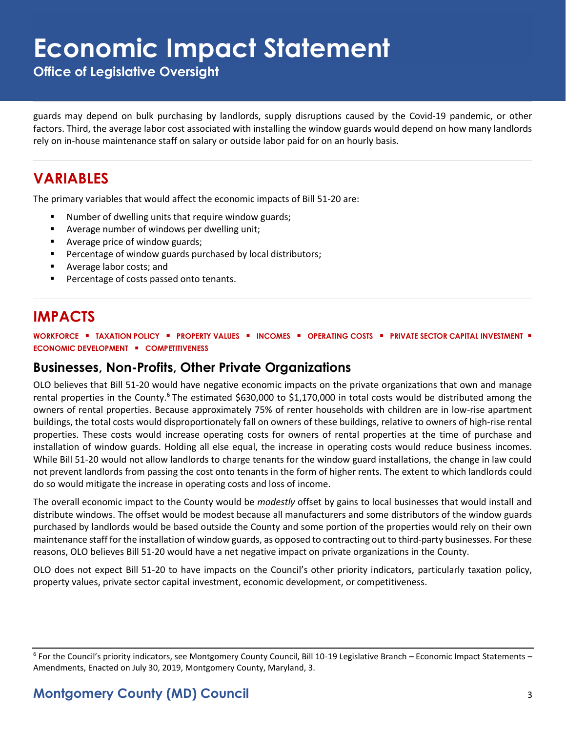**Office of Legislative Oversight**

guards may depend on bulk purchasing by landlords, supply disruptions caused by the Covid-19 pandemic, or other factors. Third, the average labor cost associated with installing the window guards would depend on how many landlords rely on in-house maintenance staff on salary or outside labor paid for on an hourly basis.

### **VARIABLES**

The primary variables that would affect the economic impacts of Bill 51-20 are:

- Number of dwelling units that require window guards;
- Average number of windows per dwelling unit;
- Average price of window guards;
- Percentage of window guards purchased by local distributors;
- Average labor costs; and
- Percentage of costs passed onto tenants.

#### **IMPACTS**

**WORKFORCE** ▪ **TAXATION POLICY** ▪ **PROPERTY VALUES** ▪ **INCOMES** ▪ **OPERATING COSTS** ▪ **PRIVATE SECTOR CAPITAL INVESTMENT** ▪ **ECONOMIC DEVELOPMENT** ▪ **COMPETITIVENESS**

#### **Businesses, Non-Profits, Other Private Organizations**

OLO believes that Bill 51-20 would have negative economic impacts on the private organizations that own and manage rental properties in the County.<sup>6</sup> The estimated \$630,000 to \$1,170,000 in total costs would be distributed among the owners of rental properties. Because approximately 75% of renter households with children are in low-rise apartment buildings, the total costs would disproportionately fall on owners of these buildings, relative to owners of high-rise rental properties. These costs would increase operating costs for owners of rental properties at the time of purchase and installation of window guards. Holding all else equal, the increase in operating costs would reduce business incomes. While Bill 51-20 would not allow landlords to charge tenants for the window guard installations, the change in law could not prevent landlords from passing the cost onto tenants in the form of higher rents. The extent to which landlords could do so would mitigate the increase in operating costs and loss of income.

The overall economic impact to the County would be *modestly* offset by gains to local businesses that would install and distribute windows. The offset would be modest because all manufacturers and some distributors of the window guards purchased by landlords would be based outside the County and some portion of the properties would rely on their own maintenance staff for the installation of window guards, as opposed to contracting out to third-party businesses. For these reasons, OLO believes Bill 51-20 would have a net negative impact on private organizations in the County.

OLO does not expect Bill 51-20 to have impacts on the Council's other priority indicators, particularly taxation policy, property values, private sector capital investment, economic development, or competitiveness.

<sup>&</sup>lt;sup>6</sup> For the Council's priority indicators, see Montgomery County Council, Bill 10-19 Legislative Branch – Economic Impact Statements – Amendments, Enacted on July 30, 2019, Montgomery County, Maryland, 3.